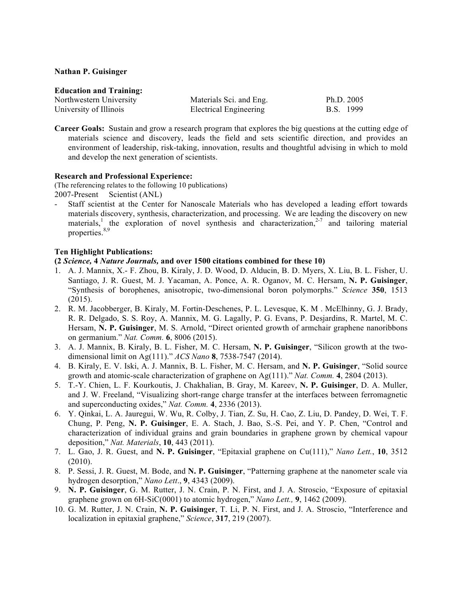## **Nathan P. Guisinger**

#### **Education and Training:**

| Northwestern University | Materials Sci. and Eng.       | Ph.D. $2005$ |  |
|-------------------------|-------------------------------|--------------|--|
| University of Illinois  | <b>Electrical Engineering</b> | B.S. 1999    |  |

**Career Goals:** Sustain and grow a research program that explores the big questions at the cutting edge of materials science and discovery, leads the field and sets scientific direction, and provides an environment of leadership, risk-taking, innovation, results and thoughtful advising in which to mold and develop the next generation of scientists.

# **Research and Professional Experience:**

(The referencing relates to the following 10 publications) 2007-Present Scientist (ANL)

- Staff scientist at the Center for Nanoscale Materials who has developed a leading effort towards materials discovery, synthesis, characterization, and processing. We are leading the discovery on new materials,<sup>1</sup> the exploration of novel synthesis and characterization,<sup>2-7</sup> and tailoring material properties.<sup>8,9</sup>

## **Ten Highlight Publications:**

**(2** *Science,* **4** *Nature Journals,* **and over 1500 citations combined for these 10)**

- 1. A. J. Mannix, X.- F. Zhou, B. Kiraly, J. D. Wood, D. Alducin, B. D. Myers, X. Liu, B. L. Fisher, U. Santiago, J. R. Guest, M. J. Yacaman, A. Ponce, A. R. Oganov, M. C. Hersam, **N. P. Guisinger**, "Synthesis of borophenes, anisotropic, two-dimensional boron polymorphs." *Science* **350**, 1513 (2015).
- 2. R. M. Jacobberger, B. Kiraly, M. Fortin-Deschenes, P. L. Levesque, K. M . McElhinny, G. J. Brady, R. R. Delgado, S. S. Roy, A. Mannix, M. G. Lagally, P. G. Evans, P. Desjardins, R. Martel, M. C. Hersam, **N. P. Guisinger**, M. S. Arnold, "Direct oriented growth of armchair graphene nanoribbons on germanium." *Nat. Comm.* **6**, 8006 (2015).
- 3. A. J. Mannix, B. Kiraly, B. L. Fisher, M. C. Hersam, **N. P. Guisinger**, "Silicon growth at the twodimensional limit on Ag(111)." *ACS Nano* **8**, 7538-7547 (2014).
- 4. B. Kiraly, E. V. Iski, A. J. Mannix, B. L. Fisher, M. C. Hersam, and **N. P. Guisinger**, "Solid source growth and atomic-scale characterization of graphene on Ag(111)." *Nat. Comm.* **4**, 2804 (2013).
- 5. T.-Y. Chien, L. F. Kourkoutis, J. Chakhalian, B. Gray, M. Kareev, **N. P. Guisinger**, D. A. Muller, and J. W. Freeland, "Visualizing short-range charge transfer at the interfaces between ferromagnetic and superconducting oxides," *Nat. Comm.* **4**, 2336 (2013).
- 6. Y. Qinkai, L. A. Jauregui, W. Wu, R. Colby, J. Tian, Z. Su, H. Cao, Z. Liu, D. Pandey, D. Wei, T. F. Chung, P. Peng, **N. P. Guisinger**, E. A. Stach, J. Bao, S.-S. Pei, and Y. P. Chen, "Control and characterization of individual grains and grain boundaries in graphene grown by chemical vapour deposition," *Nat. Materials*, **10**, 443 (2011).
- 7. L. Gao, J. R. Guest, and **N. P. Guisinger**, "Epitaxial graphene on Cu(111)," *Nano Lett.*, **10**, 3512 (2010).
- 8. P. Sessi, J. R. Guest, M. Bode, and **N. P. Guisinger**, "Patterning graphene at the nanometer scale via hydrogen desorption," *Nano Lett*., **9**, 4343 (2009).
- 9. **N. P. Guisinger**, G. M. Rutter, J. N. Crain, P. N. First, and J. A. Stroscio, "Exposure of epitaxial graphene grown on 6H-SiC(0001) to atomic hydrogen," *Nano Lett.,* **9**, 1462 (2009).
- 10. G. M. Rutter, J. N. Crain, **N. P. Guisinger**, T. Li, P. N. First, and J. A. Stroscio, "Interference and localization in epitaxial graphene," *Science*, **317**, 219 (2007).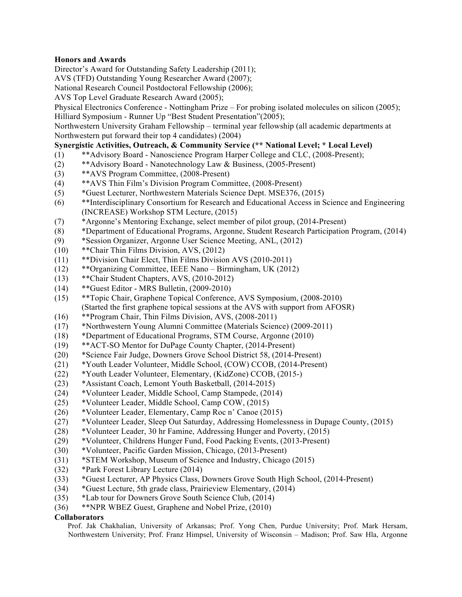# **Honors and Awards**

Director's Award for Outstanding Safety Leadership (2011);

AVS (TFD) Outstanding Young Researcher Award (2007);

National Research Council Postdoctoral Fellowship (2006);

AVS Top Level Graduate Research Award (2005);

Physical Electronics Conference - Nottingham Prize – For probing isolated molecules on silicon (2005);

Hilliard Symposium - Runner Up "Best Student Presentation"(2005);

Northwestern University Graham Fellowship – terminal year fellowship (all academic departments at Northwestern put forward their top 4 candidates) (2004)

# **Synergistic Activities, Outreach, & Community Service (\*\* National Level; \* Local Level)**

- (1) \*\*Advisory Board Nanoscience Program Harper College and CLC, (2008-Present);
- (2) \*\*Advisory Board Nanotechnology Law & Business, (2005-Present)
- (3) \*\*AVS Program Committee, (2008-Present)
- (4) \*\*AVS Thin Film's Division Program Committee, (2008-Present)
- (5) \*Guest Lecturer, Northwestern Materials Science Dept. MSE376, (2015)
- (6) \*\*Interdisciplinary Consortium for Research and Educational Access in Science and Engineering (INCREASE) Workshop STM Lecture, (2015)
- (7) \*Argonne's Mentoring Exchange, select member of pilot group, (2014-Present)
- (8) \*Department of Educational Programs, Argonne, Student Research Participation Program, (2014)
- (9) \*Session Organizer, Argonne User Science Meeting, ANL, (2012)
- (10) \*\*Chair Thin Films Division, AVS, (2012)
- (11) \*\*Division Chair Elect, Thin Films Division AVS (2010-2011)
- (12) \*\*Organizing Committee, IEEE Nano Birmingham, UK (2012)
- (13) \*\*Chair Student Chapters, AVS, (2010-2012)
- (14) \*\*Guest Editor MRS Bulletin, (2009-2010)
- (15) \*\*Topic Chair, Graphene Topical Conference, AVS Symposium, (2008-2010)
	- (Started the first graphene topical sessions at the AVS with support from AFOSR)
- (16) \*\*Program Chair, Thin Films Division, AVS, (2008-2011)
- (17) \*Northwestern Young Alumni Committee (Materials Science) (2009-2011)
- (18) \*Department of Educational Programs, STM Course, Argonne (2010)
- (19) \*\*ACT-SO Mentor for DuPage County Chapter, (2014-Present)
- (20) \*Science Fair Judge, Downers Grove School District 58, (2014-Present)
- (21) \*Youth Leader Volunteer, Middle School, (COW) CCOB, (2014-Present)
- (22) \*Youth Leader Volunteer, Elementary, (KidZone) CCOB, (2015-)
- (23) \*Assistant Coach, Lemont Youth Basketball, (2014-2015)
- (24) \*Volunteer Leader, Middle School, Camp Stampede, (2014)
- (25) \*Volunteer Leader, Middle School, Camp COW, (2015)
- (26) \*Volunteer Leader, Elementary, Camp Roc n' Canoe (2015)
- (27) \*Volunteer Leader, Sleep Out Saturday, Addressing Homelessness in Dupage County, (2015)
- (28) \*Volunteer Leader, 30 hr Famine, Addressing Hunger and Poverty, (2015)
- (29) \*Volunteer, Childrens Hunger Fund, Food Packing Events, (2013-Present)
- (30) \*Volunteer, Pacific Garden Mission, Chicago, (2013-Present)
- (31) \*STEM Workshop, Museum of Science and Industry, Chicago (2015)
- (32) \*Park Forest Library Lecture (2014)
- (33) \*Guest Lecturer, AP Physics Class, Downers Grove South High School, (2014-Present)
- (34) \*Guest Lecture, 5th grade class, Prairieview Elementary, (2014)
- (35) \*Lab tour for Downers Grove South Science Club, (2014)
- (36) \*\*NPR WBEZ Guest, Graphene and Nobel Prize, (2010)

# **Collaborators**

 Prof. Jak Chakhalian, University of Arkansas; Prof. Yong Chen, Purdue University; Prof. Mark Hersam, Northwestern University; Prof. Franz Himpsel, University of Wisconsin – Madison; Prof. Saw Hla, Argonne